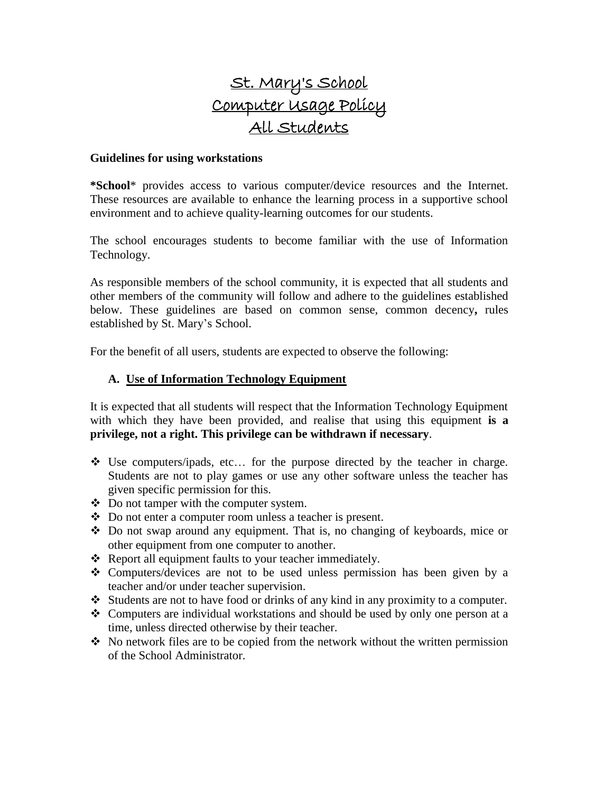# St. Mary's School Computer Usage Policy All Students

#### **Guidelines for using workstations**

**\*School**\* provides access to various computer/device resources and the Internet. These resources are available to enhance the learning process in a supportive school environment and to achieve quality-learning outcomes for our students.

The school encourages students to become familiar with the use of Information Technology.

As responsible members of the school community, it is expected that all students and other members of the community will follow and adhere to the guidelines established below. These guidelines are based on common sense, common decency**,** rules established by St. Mary's School.

For the benefit of all users, students are expected to observe the following:

## **A. Use of Information Technology Equipment**

It is expected that all students will respect that the Information Technology Equipment with which they have been provided, and realise that using this equipment **is a privilege, not a right. This privilege can be withdrawn if necessary**.

- $\cdot$  Use computers/ipads, etc... for the purpose directed by the teacher in charge. Students are not to play games or use any other software unless the teacher has given specific permission for this.
- Do not tamper with the computer system.
- Do not enter a computer room unless a teacher is present.
- Do not swap around any equipment. That is, no changing of keyboards, mice or other equipment from one computer to another.
- \* Report all equipment faults to your teacher immediately.
- Computers/devices are not to be used unless permission has been given by a teacher and/or under teacher supervision.
- Students are not to have food or drinks of any kind in any proximity to a computer.
- $\triangle$  Computers are individual workstations and should be used by only one person at a time, unless directed otherwise by their teacher.
- $\cdot$  No network files are to be copied from the network without the written permission of the School Administrator.